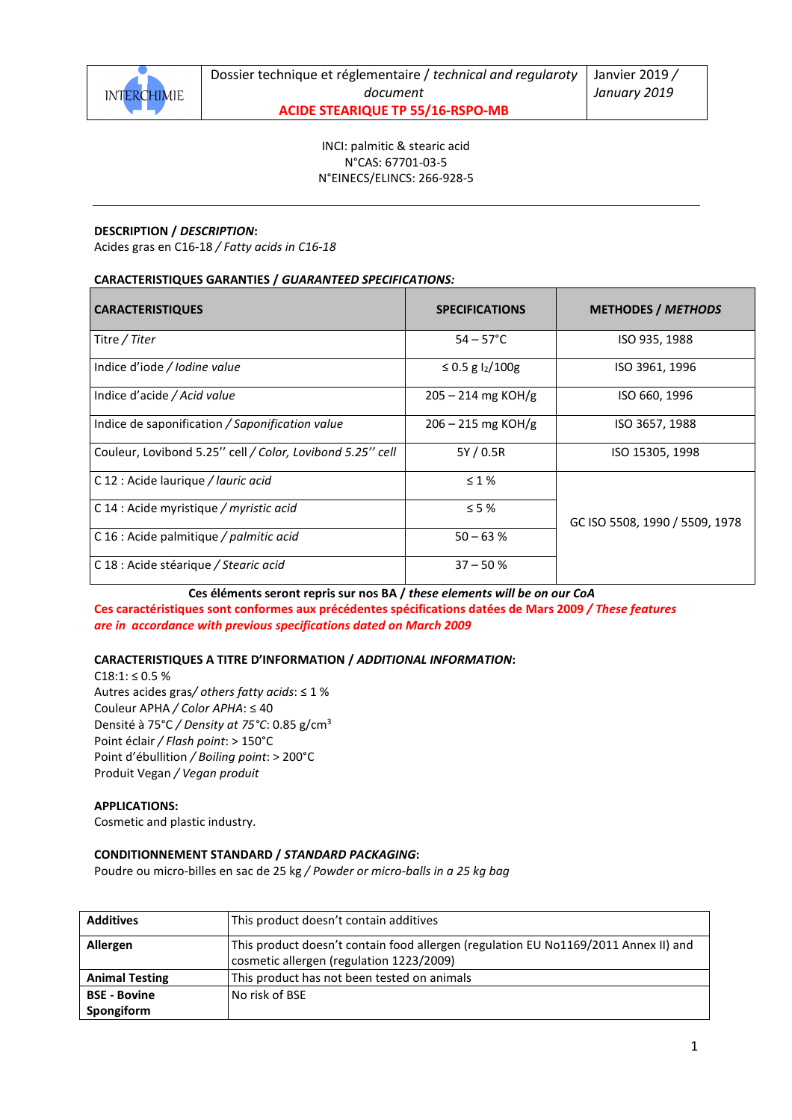

INCI: palmitic & stearic acid N°CAS: 67701-03-5

N°EINECS/ELINCS: 266-928-5

## **DESCRIPTION /** *DESCRIPTION***:**

Acides gras en C16-18 */ Fatty acids in C16-18*

### **CARACTERISTIQUES GARANTIES /** *GUARANTEED SPECIFICATIONS:*

| <b>CARACTERISTIQUES</b>                                   | <b>SPECIFICATIONS</b> | <b>METHODES / METHODS</b>      |
|-----------------------------------------------------------|-----------------------|--------------------------------|
| Titre / Titer                                             | $54 - 57^{\circ}$ C   | ISO 935, 1988                  |
| Indice d'iode / Iodine value                              | ≤ 0.5 g $12/100$ g    | ISO 3961, 1996                 |
| Indice d'acide / Acid value                               | $205 - 214$ mg KOH/g  | ISO 660, 1996                  |
| Indice de saponification / Saponification value           | $206 - 215$ mg KOH/g  | ISO 3657, 1988                 |
| Couleur, Lovibond 5.25" cell / Color, Lovibond 5.25" cell | 5Y / 0.5R             | ISO 15305, 1998                |
| C 12 : Acide laurique / lauric acid                       | $\leq 1\%$            |                                |
| C 14 : Acide myristique / myristic acid                   | $\leq$ 5 %            | GC ISO 5508, 1990 / 5509, 1978 |
| C 16 : Acide palmitique / palmitic acid                   | $50 - 63%$            |                                |
| C 18 : Acide stéarique / Stearic acid                     | $37 - 50%$            |                                |

**Ces éléments seront repris sur nos BA /** *these elements will be on our CoA*  **Ces caractéristiques sont conformes aux précédentes spécifications datées de Mars 2009** */ These features* 

*are in accordance with previous specifications dated on March 2009* 

### **CARACTERISTIQUES A TITRE D'INFORMATION /** *ADDITIONAL INFORMATION***:**

C18:1: ≤ 0.5 % Autres acides gras*/ others fatty acids*: ≤ 1 % Couleur APHA */ Color APHA*: ≤ 40 Densité à 75°C */ Density at 75°C*: 0.85 g/cm<sup>3</sup> Point éclair */ Flash point*: > 150°C Point d'ébullition */ Boiling point*: > 200°C Produit Vegan */ Vegan produit*

### **APPLICATIONS:**

Cosmetic and plastic industry.

### **CONDITIONNEMENT STANDARD /** *STANDARD PACKAGING***:**

Poudre ou micro-billes en sac de 25 kg */ Powder or micro-balls in a 25 kg bag*

| <b>Additives</b>      | This product doesn't contain additives                                              |
|-----------------------|-------------------------------------------------------------------------------------|
| Allergen              | This product doesn't contain food allergen (regulation EU No1169/2011 Annex II) and |
|                       | cosmetic allergen (regulation 1223/2009)                                            |
| <b>Animal Testing</b> | This product has not been tested on animals                                         |
| <b>BSE - Bovine</b>   | No risk of BSE                                                                      |
| Spongiform            |                                                                                     |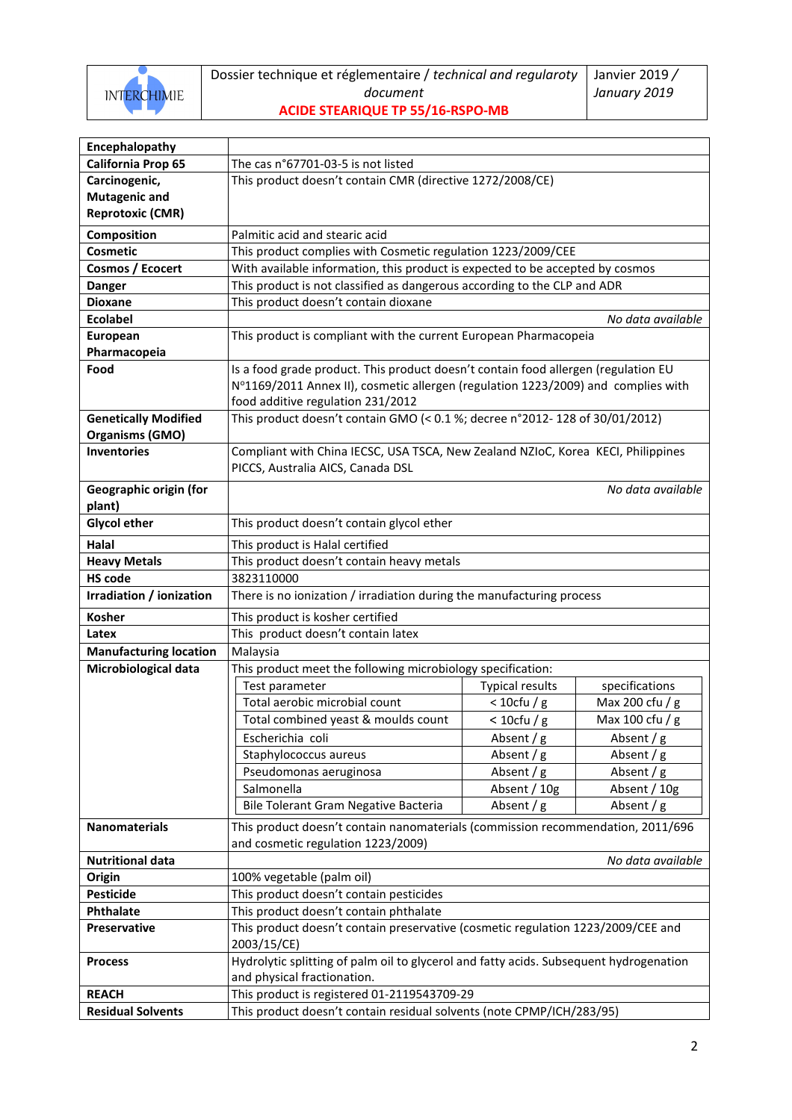

Dossier technique et réglementaire / *technical and regularoty document*

**ACIDE STEARIQUE TP 55/16-RSPO-MB** 

| Encephalopathy                |                                                                                        |                        |                   |
|-------------------------------|----------------------------------------------------------------------------------------|------------------------|-------------------|
| California Prop 65            | The cas n°67701-03-5 is not listed                                                     |                        |                   |
| Carcinogenic,                 | This product doesn't contain CMR (directive 1272/2008/CE)                              |                        |                   |
| <b>Mutagenic and</b>          |                                                                                        |                        |                   |
| <b>Reprotoxic (CMR)</b>       |                                                                                        |                        |                   |
| Composition                   | Palmitic acid and stearic acid                                                         |                        |                   |
| Cosmetic                      | This product complies with Cosmetic regulation 1223/2009/CEE                           |                        |                   |
| Cosmos / Ecocert              | With available information, this product is expected to be accepted by cosmos          |                        |                   |
| <b>Danger</b>                 | This product is not classified as dangerous according to the CLP and ADR               |                        |                   |
| <b>Dioxane</b>                | This product doesn't contain dioxane                                                   |                        |                   |
| <b>Ecolabel</b>               |                                                                                        |                        | No data available |
| European                      | This product is compliant with the current European Pharmacopeia                       |                        |                   |
| Pharmacopeia                  |                                                                                        |                        |                   |
| Food                          | Is a food grade product. This product doesn't contain food allergen (regulation EU     |                        |                   |
|                               | N°1169/2011 Annex II), cosmetic allergen (regulation 1223/2009) and complies with      |                        |                   |
|                               | food additive regulation 231/2012                                                      |                        |                   |
| <b>Genetically Modified</b>   | This product doesn't contain GMO (< 0.1 %; decree n°2012-128 of 30/01/2012)            |                        |                   |
| <b>Organisms (GMO)</b>        |                                                                                        |                        |                   |
| <b>Inventories</b>            | Compliant with China IECSC, USA TSCA, New Zealand NZIoC, Korea KECI, Philippines       |                        |                   |
|                               | PICCS, Australia AICS, Canada DSL                                                      |                        |                   |
| Geographic origin (for        |                                                                                        |                        | No data available |
| plant)                        |                                                                                        |                        |                   |
| <b>Glycol ether</b>           | This product doesn't contain glycol ether                                              |                        |                   |
| <b>Halal</b>                  | This product is Halal certified                                                        |                        |                   |
| <b>Heavy Metals</b>           | This product doesn't contain heavy metals                                              |                        |                   |
| <b>HS code</b>                | 3823110000                                                                             |                        |                   |
| Irradiation / ionization      | There is no ionization / irradiation during the manufacturing process                  |                        |                   |
| <b>Kosher</b>                 | This product is kosher certified                                                       |                        |                   |
| Latex                         | This product doesn't contain latex                                                     |                        |                   |
| <b>Manufacturing location</b> | Malaysia                                                                               |                        |                   |
| Microbiological data          | This product meet the following microbiology specification:                            |                        |                   |
|                               | Test parameter                                                                         | <b>Typical results</b> | specifications    |
|                               | Total aerobic microbial count                                                          | $<$ 10cfu / g          | Max 200 cfu / g   |
|                               | Total combined yeast & moulds count                                                    | $<$ 10cfu / g          | Max 100 cfu / g   |
|                               | Escherichia coli                                                                       | Absent / g             | Absent / g        |
|                               | Staphylococcus aureus                                                                  | Absent / g             | Absent / g        |
|                               | Pseudomonas aeruginosa                                                                 | Absent / g             | Absent / g        |
|                               | Salmonella                                                                             | Absent / 10g           | Absent / 10g      |
|                               | Bile Tolerant Gram Negative Bacteria                                                   | Absent / g             | Absent / g        |
| <b>Nanomaterials</b>          | This product doesn't contain nanomaterials (commission recommendation, 2011/696        |                        |                   |
|                               | and cosmetic regulation 1223/2009)                                                     |                        |                   |
| <b>Nutritional data</b>       |                                                                                        |                        | No data available |
| Origin                        | 100% vegetable (palm oil)                                                              |                        |                   |
| <b>Pesticide</b>              | This product doesn't contain pesticides                                                |                        |                   |
| Phthalate                     | This product doesn't contain phthalate                                                 |                        |                   |
| Preservative                  | This product doesn't contain preservative (cosmetic regulation 1223/2009/CEE and       |                        |                   |
|                               | 2003/15/CE)                                                                            |                        |                   |
| <b>Process</b>                | Hydrolytic splitting of palm oil to glycerol and fatty acids. Subsequent hydrogenation |                        |                   |
|                               | and physical fractionation.                                                            |                        |                   |
| <b>REACH</b>                  | This product is registered 01-2119543709-29                                            |                        |                   |
| <b>Residual Solvents</b>      | This product doesn't contain residual solvents (note CPMP/ICH/283/95)                  |                        |                   |